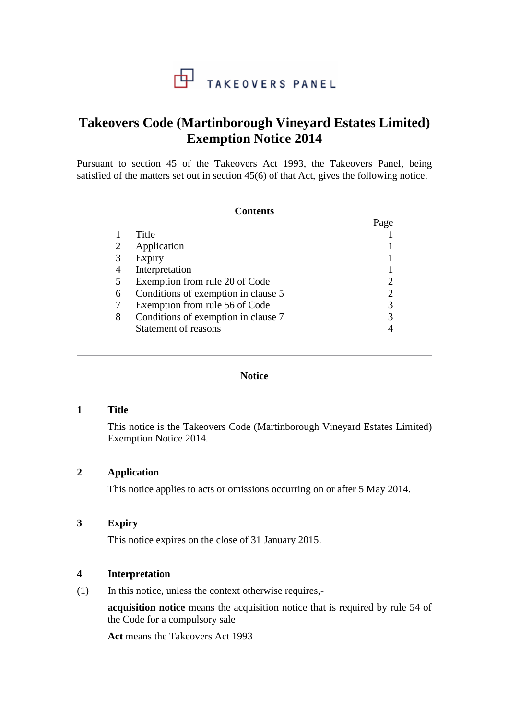# **Takeovers Code (Martinborough Vineyard Estates Limited) Exemption Notice 2014**

Pursuant to section 45 of the Takeovers Act 1993, the Takeovers Panel, being satisfied of the matters set out in section 45(6) of that Act, gives the following notice.

#### **Contents**

|                |                                     | Page |
|----------------|-------------------------------------|------|
|                | Title                               |      |
| 2              | Application                         |      |
| 3              | Expiry                              |      |
| $\overline{4}$ | Interpretation                      |      |
| 5              | Exemption from rule 20 of Code      |      |
| 6              | Conditions of exemption in clause 5 |      |
|                | Exemption from rule 56 of Code      |      |
| 8              | Conditions of exemption in clause 7 |      |
|                | Statement of reasons                |      |

#### **Notice**

## **1 Title**

This notice is the Takeovers Code (Martinborough Vineyard Estates Limited) Exemption Notice 2014.

# **2 Application**

This notice applies to acts or omissions occurring on or after 5 May 2014.

# **3 Expiry**

This notice expires on the close of 31 January 2015.

### **4 Interpretation**

(1) In this notice, unless the context otherwise requires,-

**acquisition notice** means the acquisition notice that is required by rule 54 of the Code for a compulsory sale

**Act** means the Takeovers Act 1993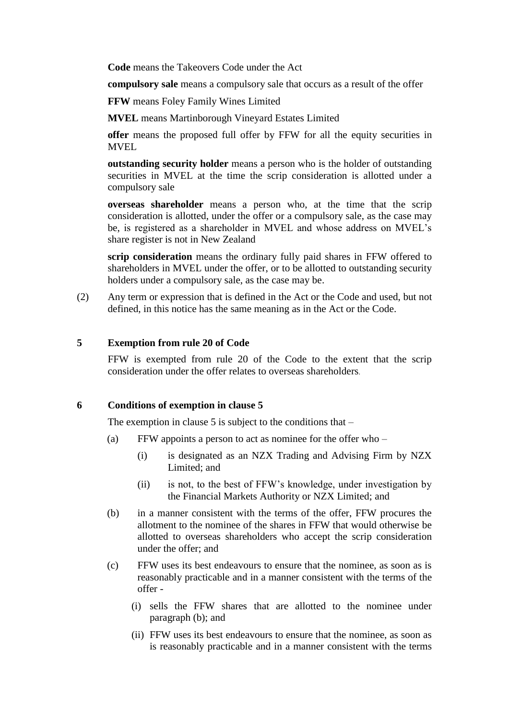**Code** means the Takeovers Code under the Act

**compulsory sale** means a compulsory sale that occurs as a result of the offer

**FFW** means Foley Family Wines Limited

**MVEL** means Martinborough Vineyard Estates Limited

**offer** means the proposed full offer by FFW for all the equity securities in MVEL

**outstanding security holder** means a person who is the holder of outstanding securities in MVEL at the time the scrip consideration is allotted under a compulsory sale

**overseas shareholder** means a person who, at the time that the scrip consideration is allotted, under the offer or a compulsory sale, as the case may be, is registered as a shareholder in MVEL and whose address on MVEL's share register is not in New Zealand

**scrip consideration** means the ordinary fully paid shares in FFW offered to shareholders in MVEL under the offer, or to be allotted to outstanding security holders under a compulsory sale, as the case may be.

(2) Any term or expression that is defined in the Act or the Code and used, but not defined, in this notice has the same meaning as in the Act or the Code.

### **5 Exemption from rule 20 of Code**

FFW is exempted from rule 20 of the Code to the extent that the scrip consideration under the offer relates to overseas shareholders.

#### **6 Conditions of exemption in clause 5**

The exemption in clause 5 is subject to the conditions that  $-$ 

- (a) FFW appoints a person to act as nominee for the offer who
	- (i) is designated as an NZX Trading and Advising Firm by NZX Limited; and
	- (ii) is not, to the best of FFW's knowledge, under investigation by the Financial Markets Authority or NZX Limited; and
- (b) in a manner consistent with the terms of the offer, FFW procures the allotment to the nominee of the shares in FFW that would otherwise be allotted to overseas shareholders who accept the scrip consideration under the offer; and
- (c) FFW uses its best endeavours to ensure that the nominee, as soon as is reasonably practicable and in a manner consistent with the terms of the offer -
	- (i) sells the FFW shares that are allotted to the nominee under paragraph (b); and
	- (ii) FFW uses its best endeavours to ensure that the nominee, as soon as is reasonably practicable and in a manner consistent with the terms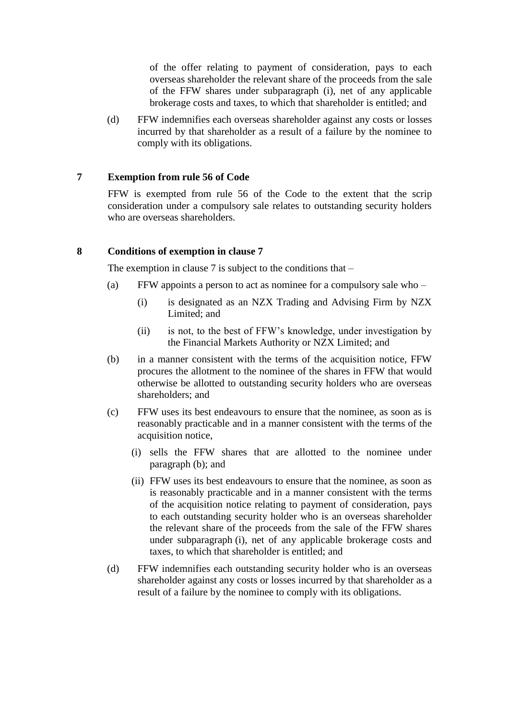of the offer relating to payment of consideration, pays to each overseas shareholder the relevant share of the proceeds from the sale of the FFW shares under subparagraph (i), net of any applicable brokerage costs and taxes, to which that shareholder is entitled; and

(d) FFW indemnifies each overseas shareholder against any costs or losses incurred by that shareholder as a result of a failure by the nominee to comply with its obligations.

# **7 Exemption from rule 56 of Code**

FFW is exempted from rule 56 of the Code to the extent that the scrip consideration under a compulsory sale relates to outstanding security holders who are overseas shareholders.

## **8 Conditions of exemption in clause 7**

The exemption in clause  $7$  is subject to the conditions that  $-$ 

- (a) FFW appoints a person to act as nominee for a compulsory sale who
	- (i) is designated as an NZX Trading and Advising Firm by NZX Limited; and
	- (ii) is not, to the best of FFW's knowledge, under investigation by the Financial Markets Authority or NZX Limited; and
- (b) in a manner consistent with the terms of the acquisition notice, FFW procures the allotment to the nominee of the shares in FFW that would otherwise be allotted to outstanding security holders who are overseas shareholders; and
- (c) FFW uses its best endeavours to ensure that the nominee, as soon as is reasonably practicable and in a manner consistent with the terms of the acquisition notice,
	- (i) sells the FFW shares that are allotted to the nominee under paragraph (b); and
	- (ii) FFW uses its best endeavours to ensure that the nominee, as soon as is reasonably practicable and in a manner consistent with the terms of the acquisition notice relating to payment of consideration, pays to each outstanding security holder who is an overseas shareholder the relevant share of the proceeds from the sale of the FFW shares under subparagraph (i), net of any applicable brokerage costs and taxes, to which that shareholder is entitled; and
- (d) FFW indemnifies each outstanding security holder who is an overseas shareholder against any costs or losses incurred by that shareholder as a result of a failure by the nominee to comply with its obligations.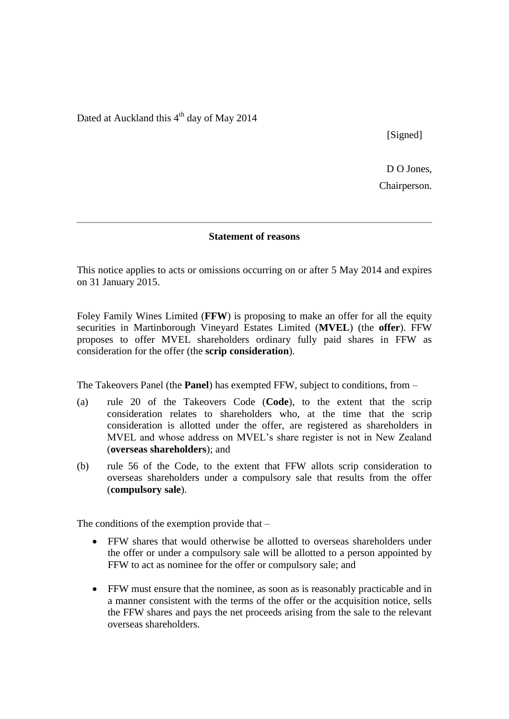Dated at Auckland this  $4<sup>th</sup>$  day of May 2014

[Signed]

D O Jones. Chairperson.

#### **Statement of reasons**

This notice applies to acts or omissions occurring on or after 5 May 2014 and expires on 31 January 2015.

Foley Family Wines Limited (**FFW**) is proposing to make an offer for all the equity securities in Martinborough Vineyard Estates Limited (**MVEL**) (the **offer**). FFW proposes to offer MVEL shareholders ordinary fully paid shares in FFW as consideration for the offer (the **scrip consideration**).

The Takeovers Panel (the **Panel**) has exempted FFW, subject to conditions, from –

- (a) rule 20 of the Takeovers Code (**Code**), to the extent that the scrip consideration relates to shareholders who, at the time that the scrip consideration is allotted under the offer, are registered as shareholders in MVEL and whose address on MVEL's share register is not in New Zealand (**overseas shareholders**); and
- (b) rule 56 of the Code, to the extent that FFW allots scrip consideration to overseas shareholders under a compulsory sale that results from the offer (**compulsory sale**).

The conditions of the exemption provide that –

- FFW shares that would otherwise be allotted to overseas shareholders under the offer or under a compulsory sale will be allotted to a person appointed by FFW to act as nominee for the offer or compulsory sale; and
- FFW must ensure that the nominee, as soon as is reasonably practicable and in a manner consistent with the terms of the offer or the acquisition notice, sells the FFW shares and pays the net proceeds arising from the sale to the relevant overseas shareholders.